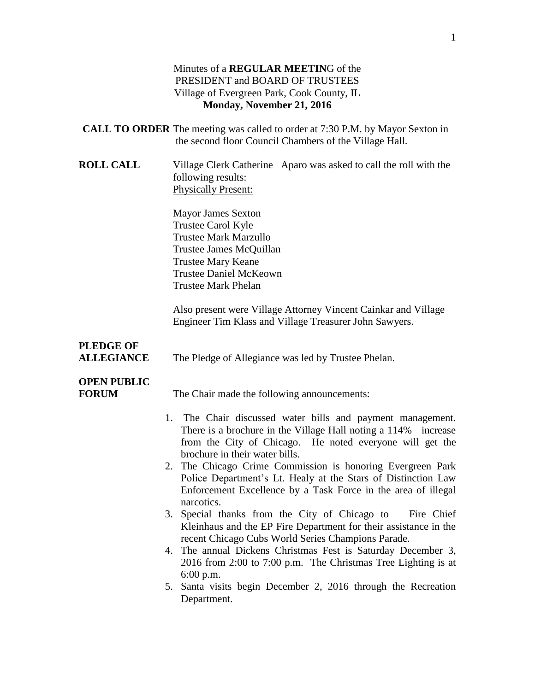#### Minutes of a **REGULAR MEETIN**G of the PRESIDENT and BOARD OF TRUSTEES Village of Evergreen Park, Cook County, IL **Monday, November 21, 2016**

- **CALL TO ORDER** The meeting was called to order at 7:30 P.M. by Mayor Sexton in the second floor Council Chambers of the Village Hall.
- **ROLL CALL** Village Clerk Catherine Aparo was asked to call the roll with the following results: Physically Present:

Mayor James Sexton Trustee Carol Kyle Trustee Mark Marzullo Trustee James McQuillan Trustee Mary Keane Trustee Daniel McKeown Trustee Mark Phelan

Also present were Village Attorney Vincent Cainkar and Village Engineer Tim Klass and Village Treasurer John Sawyers.

# **PLEDGE OF**

**ALLEGIANCE** The Pledge of Allegiance was led by Trustee Phelan.

# **OPEN PUBLIC**

**FORUM** The Chair made the following announcements:

- 1. The Chair discussed water bills and payment management. There is a brochure in the Village Hall noting a 114% increase from the City of Chicago. He noted everyone will get the brochure in their water bills.
- 2. The Chicago Crime Commission is honoring Evergreen Park Police Department's Lt. Healy at the Stars of Distinction Law Enforcement Excellence by a Task Force in the area of illegal narcotics.
- 3. Special thanks from the City of Chicago to Fire Chief Kleinhaus and the EP Fire Department for their assistance in the recent Chicago Cubs World Series Champions Parade.
- 4. The annual Dickens Christmas Fest is Saturday December 3, 2016 from 2:00 to 7:00 p.m. The Christmas Tree Lighting is at 6:00 p.m.
- 5. Santa visits begin December 2, 2016 through the Recreation Department.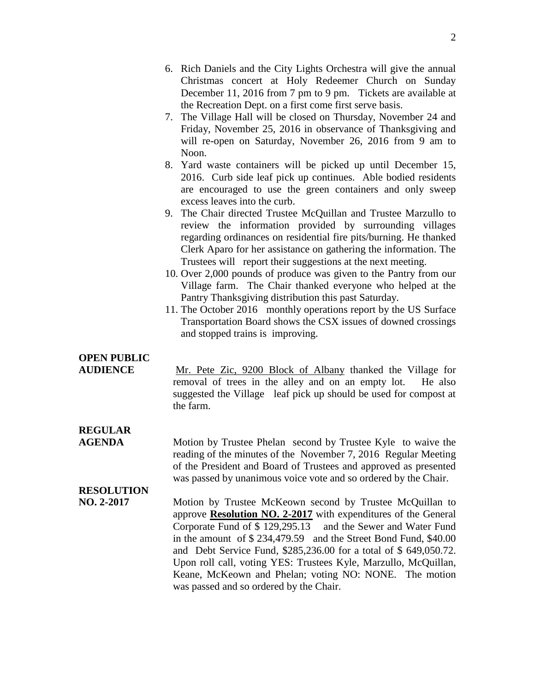- 7. The Village Hall will be closed on Thursday, November 24 and Friday, November 25, 2016 in observance of Thanksgiving and will re-open on Saturday, November 26, 2016 from 9 am to Noon.
- 8. Yard waste containers will be picked up until December 15, 2016. Curb side leaf pick up continues. Able bodied residents are encouraged to use the green containers and only sweep excess leaves into the curb.
- 9. The Chair directed Trustee McQuillan and Trustee Marzullo to review the information provided by surrounding villages regarding ordinances on residential fire pits/burning. He thanked Clerk Aparo for her assistance on gathering the information. The Trustees will report their suggestions at the next meeting.
- 10. Over 2,000 pounds of produce was given to the Pantry from our Village farm. The Chair thanked everyone who helped at the Pantry Thanksgiving distribution this past Saturday.
- 11. The October 2016 monthly operations report by the US Surface Transportation Board shows the CSX issues of downed crossings and stopped trains is improving.

# **OPEN PUBLIC**

**AUDIENCE** Mr. Pete Zic, 9200 Block of Albany thanked the Village for removal of trees in the alley and on an empty lot. He also suggested the Village leaf pick up should be used for compost at the farm.

# **REGULAR**

**AGENDA** Motion by Trustee Phelan second by Trustee Kyle to waive the reading of the minutes of the November 7, 2016 Regular Meeting of the President and Board of Trustees and approved as presented was passed by unanimous voice vote and so ordered by the Chair.

# **RESOLUTION**

**NO. 2-2017** Motion by Trustee McKeown second by Trustee McQuillan to approve **Resolution NO. 2-2017** with expenditures of the General Corporate Fund of \$ 129,295.13 and the Sewer and Water Fund in the amount of \$ 234,479.59 and the Street Bond Fund, \$40.00 and Debt Service Fund, \$285,236.00 for a total of \$ 649,050.72. Upon roll call, voting YES: Trustees Kyle, Marzullo, McQuillan, Keane, McKeown and Phelan; voting NO: NONE. The motion was passed and so ordered by the Chair.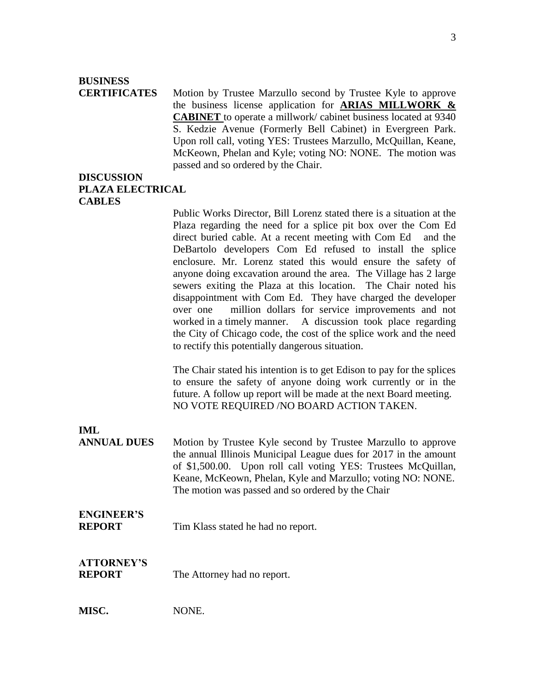### **BUSINESS**

**CERTIFICATES** Motion by Trustee Marzullo second by Trustee Kyle to approve the business license application for **ARIAS MILLWORK & CABINET** to operate a millwork/ cabinet business located at 9340 S. Kedzie Avenue (Formerly Bell Cabinet) in Evergreen Park. Upon roll call, voting YES: Trustees Marzullo, McQuillan, Keane, McKeown, Phelan and Kyle; voting NO: NONE. The motion was passed and so ordered by the Chair.

#### **DISCUSSION PLAZA ELECTRICAL CABLES**

Public Works Director, Bill Lorenz stated there is a situation at the Plaza regarding the need for a splice pit box over the Com Ed direct buried cable. At a recent meeting with Com Ed and the DeBartolo developers Com Ed refused to install the splice enclosure. Mr. Lorenz stated this would ensure the safety of anyone doing excavation around the area. The Village has 2 large sewers exiting the Plaza at this location. The Chair noted his disappointment with Com Ed. They have charged the developer over one million dollars for service improvements and not worked in a timely manner. A discussion took place regarding the City of Chicago code, the cost of the splice work and the need to rectify this potentially dangerous situation.

The Chair stated his intention is to get Edison to pay for the splices to ensure the safety of anyone doing work currently or in the future. A follow up report will be made at the next Board meeting. NO VOTE REQUIRED /NO BOARD ACTION TAKEN.

#### **IML**

**ANNUAL DUES** Motion by Trustee Kyle second by Trustee Marzullo to approve the annual Illinois Municipal League dues for 2017 in the amount of \$1,500.00. Upon roll call voting YES: Trustees McQuillan, Keane, McKeown, Phelan, Kyle and Marzullo; voting NO: NONE. The motion was passed and so ordered by the Chair

#### **ENGINEER'S**

**REPORT** Tim Klass stated he had no report.

# **ATTORNEY'S**

**REPORT** The Attorney had no report.

**MISC.** NONE.